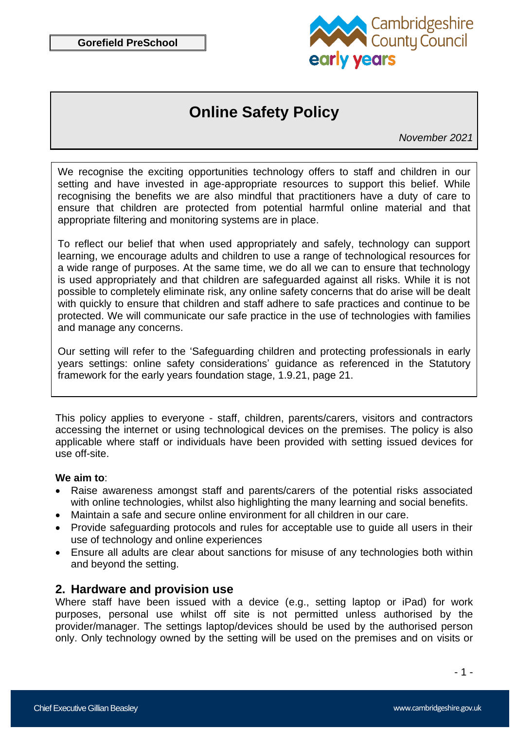

# **Online Safety Policy**

*November 2021*

We recognise the exciting opportunities technology offers to staff and children in our setting and have invested in age-appropriate resources to support this belief. While recognising the benefits we are also mindful that practitioners have a duty of care to ensure that children are protected from potential harmful online material and that appropriate filtering and monitoring systems are in place.

To reflect our belief that when used appropriately and safely, technology can support learning, we encourage adults and children to use a range of technological resources for a wide range of purposes. At the same time, we do all we can to ensure that technology is used appropriately and that children are safeguarded against all risks. While it is not possible to completely eliminate risk, any online safety concerns that do arise will be dealt with quickly to ensure that children and staff adhere to safe practices and continue to be protected. We will communicate our safe practice in the use of technologies with families and manage any concerns.

Our setting will refer to the 'Safeguarding children and protecting professionals in early years settings: online safety considerations' guidance as referenced in the Statutory framework for the early years foundation stage, 1.9.21, page 21.

This policy applies to everyone - staff, children, parents/carers, visitors and contractors accessing the internet or using technological devices on the premises. The policy is also applicable where staff or individuals have been provided with setting issued devices for use off-site.

#### **We aim to**:

- Raise awareness amongst staff and parents/carers of the potential risks associated with online technologies, whilst also highlighting the many learning and social benefits.
- Maintain a safe and secure online environment for all children in our care.
- Provide safeguarding protocols and rules for acceptable use to quide all users in their use of technology and online experiences
- Ensure all adults are clear about sanctions for misuse of any technologies both within and beyond the setting.

### **2. Hardware and provision use**

Where staff have been issued with a device (e.g., setting laptop or iPad) for work purposes, personal use whilst off site is not permitted unless authorised by the provider/manager. The settings laptop/devices should be used by the authorised person only. Only technology owned by the setting will be used on the premises and on visits or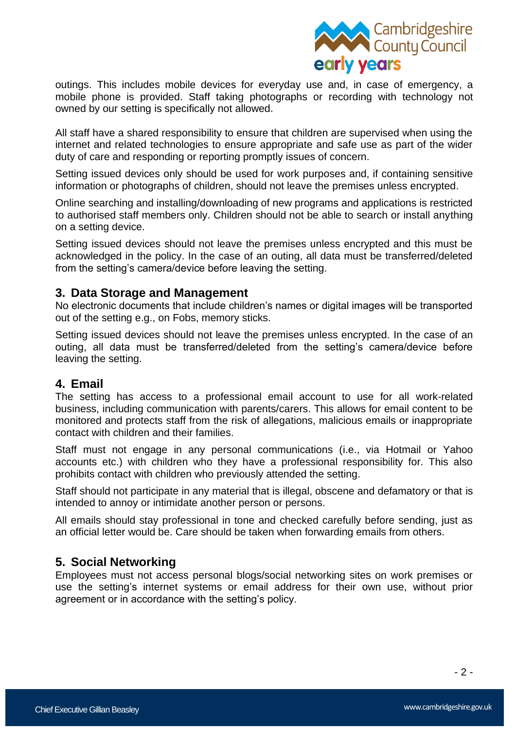

outings. This includes mobile devices for everyday use and, in case of emergency, a mobile phone is provided. Staff taking photographs or recording with technology not owned by our setting is specifically not allowed.

All staff have a shared responsibility to ensure that children are supervised when using the internet and related technologies to ensure appropriate and safe use as part of the wider duty of care and responding or reporting promptly issues of concern.

Setting issued devices only should be used for work purposes and, if containing sensitive information or photographs of children, should not leave the premises unless encrypted.

Online searching and installing/downloading of new programs and applications is restricted to authorised staff members only. Children should not be able to search or install anything on a setting device.

Setting issued devices should not leave the premises unless encrypted and this must be acknowledged in the policy. In the case of an outing, all data must be transferred/deleted from the setting's camera/device before leaving the setting.

### **3. Data Storage and Management**

No electronic documents that include children's names or digital images will be transported out of the setting e.g., on Fobs, memory sticks.

Setting issued devices should not leave the premises unless encrypted. In the case of an outing, all data must be transferred/deleted from the setting's camera/device before leaving the setting.

#### **4. Email**

The setting has access to a professional email account to use for all work-related business, including communication with parents/carers. This allows for email content to be monitored and protects staff from the risk of allegations, malicious emails or inappropriate contact with children and their families.

Staff must not engage in any personal communications (i.e., via Hotmail or Yahoo accounts etc.) with children who they have a professional responsibility for. This also prohibits contact with children who previously attended the setting.

Staff should not participate in any material that is illegal, obscene and defamatory or that is intended to annoy or intimidate another person or persons.

All emails should stay professional in tone and checked carefully before sending, just as an official letter would be. Care should be taken when forwarding emails from others.

## **5. Social Networking**

Employees must not access personal blogs/social networking sites on work premises or use the setting's internet systems or email address for their own use, without prior agreement or in accordance with the setting's policy.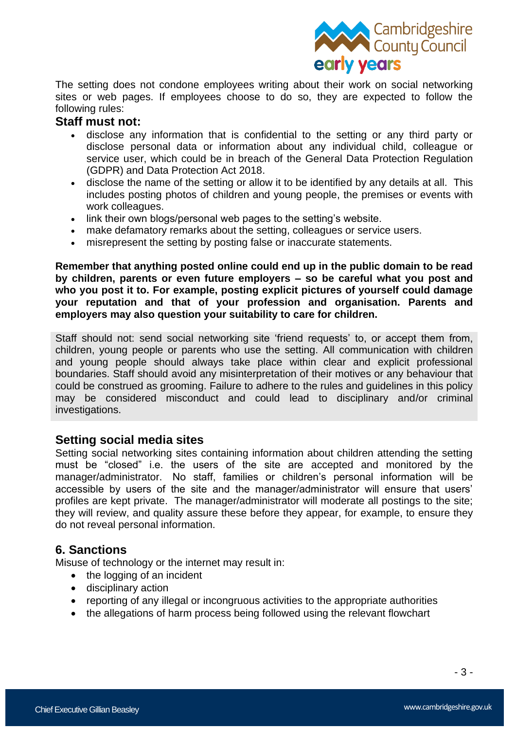

The setting does not condone employees writing about their work on social networking sites or web pages. If employees choose to do so, they are expected to follow the following rules:

#### **Staff must not:**

- disclose any information that is confidential to the setting or any third party or disclose personal data or information about any individual child, colleague or service user, which could be in breach of the General Data Protection Regulation (GDPR) and Data Protection Act 2018.
- disclose the name of the setting or allow it to be identified by any details at all. This includes posting photos of children and young people, the premises or events with work colleagues.
- link their own blogs/personal web pages to the setting's website.
- make defamatory remarks about the setting, colleagues or service users.
- misrepresent the setting by posting false or inaccurate statements.

**Remember that anything posted online could end up in the public domain to be read by children, parents or even future employers – so be careful what you post and who you post it to. For example, posting explicit pictures of yourself could damage your reputation and that of your profession and organisation. Parents and employers may also question your suitability to care for children.**

Staff should not: send social networking site 'friend requests' to, or accept them from, children, young people or parents who use the setting. All communication with children and young people should always take place within clear and explicit professional boundaries. Staff should avoid any misinterpretation of their motives or any behaviour that could be construed as grooming. Failure to adhere to the rules and guidelines in this policy may be considered misconduct and could lead to disciplinary and/or criminal investigations.

### **Setting social media sites**

Setting social networking sites containing information about children attending the setting must be "closed" i.e. the users of the site are accepted and monitored by the manager/administrator. No staff, families or children's personal information will be accessible by users of the site and the manager/administrator will ensure that users' profiles are kept private. The manager/administrator will moderate all postings to the site; they will review, and quality assure these before they appear, for example, to ensure they do not reveal personal information.

### **6. Sanctions**

Misuse of technology or the internet may result in:

- the logging of an incident
- disciplinary action
- reporting of any illegal or incongruous activities to the appropriate authorities
- the allegations of harm process being followed using the relevant flowchart